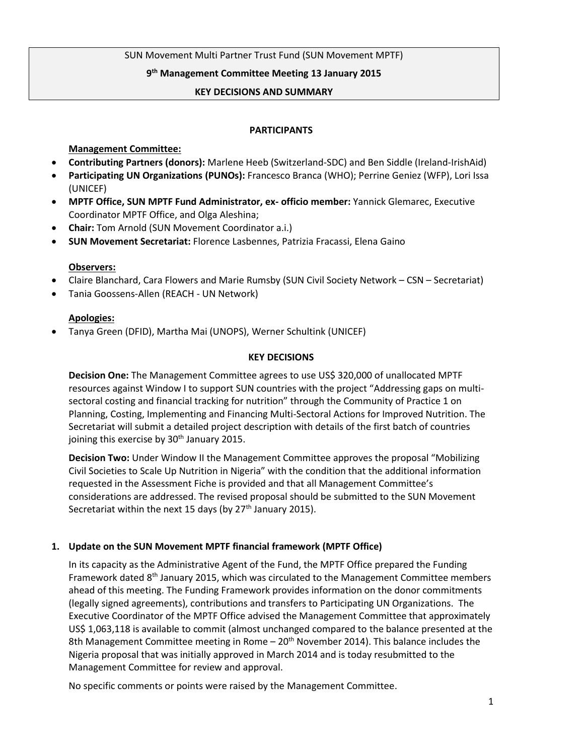## SUN Movement Multi Partner Trust Fund (SUN Movement MPTF)

## **9 th Management Committee Meeting 13 January 2015**

#### **KEY DECISIONS AND SUMMARY**

#### **PARTICIPANTS**

## **Management Committee:**

- **Contributing Partners (donors):** Marlene Heeb (Switzerland-SDC) and Ben Siddle (Ireland-IrishAid)
- **Participating UN Organizations (PUNOs):** Francesco Branca (WHO); Perrine Geniez (WFP), Lori Issa (UNICEF)
- **MPTF Office, SUN MPTF Fund Administrator, ex- officio member:** Yannick Glemarec, Executive Coordinator MPTF Office, and Olga Aleshina;
- **Chair:** Tom Arnold (SUN Movement Coordinator a.i.)
- **SUN Movement Secretariat:** Florence Lasbennes, Patrizia Fracassi, Elena Gaino

## **Observers:**

- Claire Blanchard, Cara Flowers and Marie Rumsby (SUN Civil Society Network CSN Secretariat)
- Tania Goossens-Allen (REACH UN Network)

#### **Apologies:**

Tanya Green (DFID), Martha Mai (UNOPS), Werner Schultink (UNICEF)

#### **KEY DECISIONS**

**Decision One:** The Management Committee agrees to use US\$ 320,000 of unallocated MPTF resources against Window I to support SUN countries with the project "Addressing gaps on multisectoral costing and financial tracking for nutrition" through the Community of Practice 1 on Planning, Costing, Implementing and Financing Multi-Sectoral Actions for Improved Nutrition. The Secretariat will submit a detailed project description with details of the first batch of countries joining this exercise by  $30<sup>th</sup>$  January 2015.

**Decision Two:** Under Window II the Management Committee approves the proposal "Mobilizing Civil Societies to Scale Up Nutrition in Nigeria" with the condition that the additional information requested in the Assessment Fiche is provided and that all Management Committee's considerations are addressed. The revised proposal should be submitted to the SUN Movement Secretariat within the next 15 days (by  $27<sup>th</sup>$  January 2015).

## **1. Update on the SUN Movement MPTF financial framework (MPTF Office)**

In its capacity as the Administrative Agent of the Fund, the MPTF Office prepared the Funding Framework dated  $8<sup>th</sup>$  January 2015, which was circulated to the Management Committee members ahead of this meeting. The Funding Framework provides information on the donor commitments (legally signed agreements), contributions and transfers to Participating UN Organizations. The Executive Coordinator of the MPTF Office advised the Management Committee that approximately US\$ 1,063,118 is available to commit (almost unchanged compared to the balance presented at the 8th Management Committee meeting in Rome –  $20<sup>th</sup>$  November 2014). This balance includes the Nigeria proposal that was initially approved in March 2014 and is today resubmitted to the Management Committee for review and approval.

No specific comments or points were raised by the Management Committee.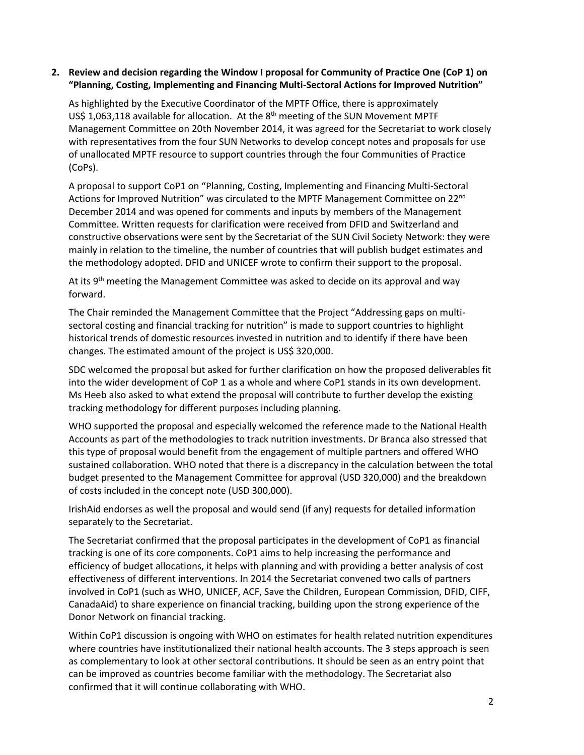## **2. Review and decision regarding the Window I proposal for Community of Practice One (CoP 1) on "Planning, Costing, Implementing and Financing Multi-Sectoral Actions for Improved Nutrition"**

As highlighted by the Executive Coordinator of the MPTF Office, there is approximately US\$ 1,063,118 available for allocation. At the  $8<sup>th</sup>$  meeting of the SUN Movement MPTF Management Committee on 20th November 2014, it was agreed for the Secretariat to work closely with representatives from the four SUN Networks to develop concept notes and proposals for use of unallocated MPTF resource to support countries through the four Communities of Practice (CoPs).

A proposal to support CoP1 on "Planning, Costing, Implementing and Financing Multi-Sectoral Actions for Improved Nutrition" was circulated to the MPTF Management Committee on 22<sup>nd</sup> December 2014 and was opened for comments and inputs by members of the Management Committee. Written requests for clarification were received from DFID and Switzerland and constructive observations were sent by the Secretariat of the SUN Civil Society Network: they were mainly in relation to the timeline, the number of countries that will publish budget estimates and the methodology adopted. DFID and UNICEF wrote to confirm their support to the proposal.

At its  $9<sup>th</sup>$  meeting the Management Committee was asked to decide on its approval and way forward.

The Chair reminded the Management Committee that the Project "Addressing gaps on multisectoral costing and financial tracking for nutrition" is made to support countries to highlight historical trends of domestic resources invested in nutrition and to identify if there have been changes. The estimated amount of the project is US\$ 320,000.

SDC welcomed the proposal but asked for further clarification on how the proposed deliverables fit into the wider development of CoP 1 as a whole and where CoP1 stands in its own development. Ms Heeb also asked to what extend the proposal will contribute to further develop the existing tracking methodology for different purposes including planning.

WHO supported the proposal and especially welcomed the reference made to the National Health Accounts as part of the methodologies to track nutrition investments. Dr Branca also stressed that this type of proposal would benefit from the engagement of multiple partners and offered WHO sustained collaboration. WHO noted that there is a discrepancy in the calculation between the total budget presented to the Management Committee for approval (USD 320,000) and the breakdown of costs included in the concept note (USD 300,000).

IrishAid endorses as well the proposal and would send (if any) requests for detailed information separately to the Secretariat.

The Secretariat confirmed that the proposal participates in the development of CoP1 as financial tracking is one of its core components. CoP1 aims to help increasing the performance and efficiency of budget allocations, it helps with planning and with providing a better analysis of cost effectiveness of different interventions. In 2014 the Secretariat convened two calls of partners involved in CoP1 (such as WHO, UNICEF, ACF, Save the Children, European Commission, DFID, CIFF, CanadaAid) to share experience on financial tracking, building upon the strong experience of the Donor Network on financial tracking.

Within CoP1 discussion is ongoing with WHO on estimates for health related nutrition expenditures where countries have institutionalized their national health accounts. The 3 steps approach is seen as complementary to look at other sectoral contributions. It should be seen as an entry point that can be improved as countries become familiar with the methodology. The Secretariat also confirmed that it will continue collaborating with WHO.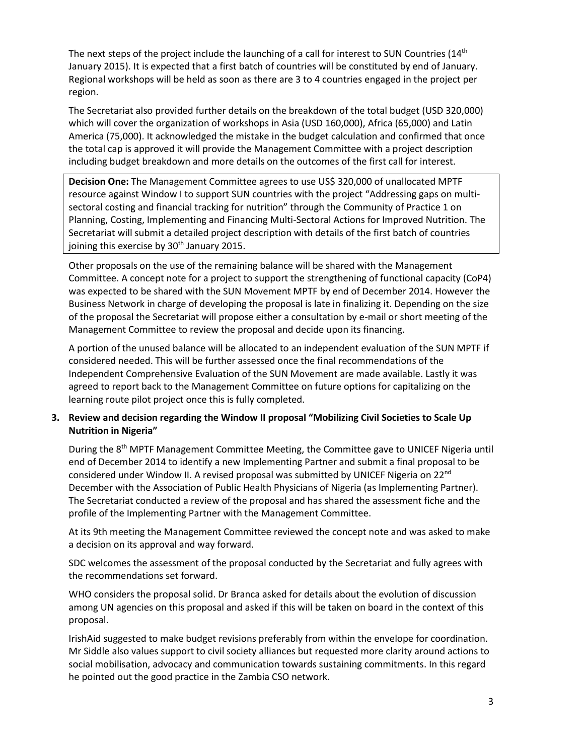The next steps of the project include the launching of a call for interest to SUN Countries  $(14<sup>th</sup>$ January 2015). It is expected that a first batch of countries will be constituted by end of January. Regional workshops will be held as soon as there are 3 to 4 countries engaged in the project per region.

The Secretariat also provided further details on the breakdown of the total budget (USD 320,000) which will cover the organization of workshops in Asia (USD 160,000), Africa (65,000) and Latin America (75,000). It acknowledged the mistake in the budget calculation and confirmed that once the total cap is approved it will provide the Management Committee with a project description including budget breakdown and more details on the outcomes of the first call for interest.

**Decision One:** The Management Committee agrees to use US\$ 320,000 of unallocated MPTF resource against Window I to support SUN countries with the project "Addressing gaps on multisectoral costing and financial tracking for nutrition" through the Community of Practice 1 on Planning, Costing, Implementing and Financing Multi-Sectoral Actions for Improved Nutrition. The Secretariat will submit a detailed project description with details of the first batch of countries joining this exercise by 30<sup>th</sup> January 2015.

Other proposals on the use of the remaining balance will be shared with the Management Committee. A concept note for a project to support the strengthening of functional capacity (CoP4) was expected to be shared with the SUN Movement MPTF by end of December 2014. However the Business Network in charge of developing the proposal is late in finalizing it. Depending on the size of the proposal the Secretariat will propose either a consultation by e-mail or short meeting of the Management Committee to review the proposal and decide upon its financing.

A portion of the unused balance will be allocated to an independent evaluation of the SUN MPTF if considered needed. This will be further assessed once the final recommendations of the Independent Comprehensive Evaluation of the SUN Movement are made available. Lastly it was agreed to report back to the Management Committee on future options for capitalizing on the learning route pilot project once this is fully completed.

# **3. Review and decision regarding the Window II proposal "Mobilizing Civil Societies to Scale Up Nutrition in Nigeria"**

During the 8<sup>th</sup> MPTF Management Committee Meeting, the Committee gave to UNICEF Nigeria until end of December 2014 to identify a new Implementing Partner and submit a final proposal to be considered under Window II. A revised proposal was submitted by UNICEF Nigeria on 22nd December with the Association of Public Health Physicians of Nigeria (as Implementing Partner). The Secretariat conducted a review of the proposal and has shared the assessment fiche and the profile of the Implementing Partner with the Management Committee.

At its 9th meeting the Management Committee reviewed the concept note and was asked to make a decision on its approval and way forward.

SDC welcomes the assessment of the proposal conducted by the Secretariat and fully agrees with the recommendations set forward.

WHO considers the proposal solid. Dr Branca asked for details about the evolution of discussion among UN agencies on this proposal and asked if this will be taken on board in the context of this proposal.

IrishAid suggested to make budget revisions preferably from within the envelope for coordination. Mr Siddle also values support to civil society alliances but requested more clarity around actions to social mobilisation, advocacy and communication towards sustaining commitments. In this regard he pointed out the good practice in the Zambia CSO network.